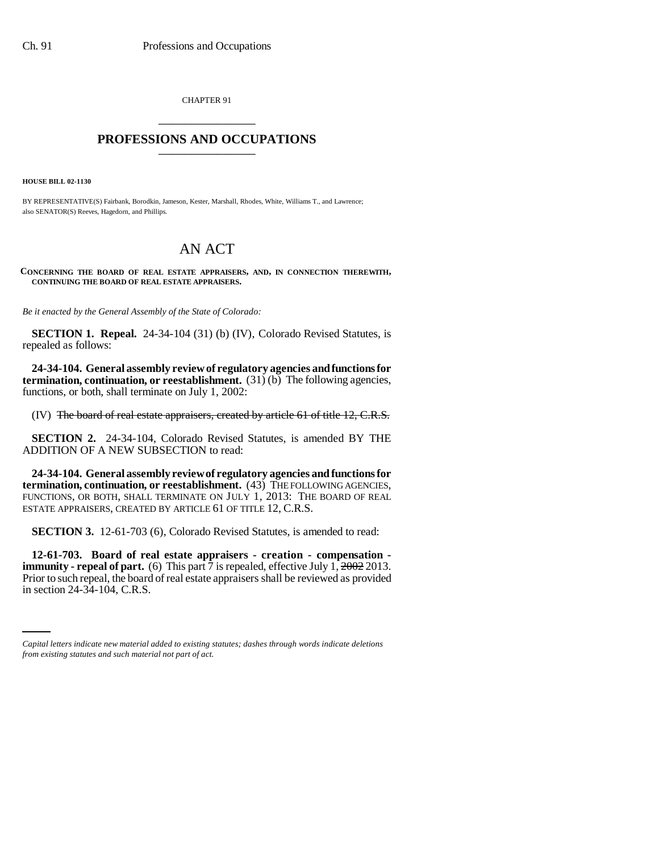CHAPTER 91 \_\_\_\_\_\_\_\_\_\_\_\_\_\_\_

## **PROFESSIONS AND OCCUPATIONS** \_\_\_\_\_\_\_\_\_\_\_\_\_\_\_

**HOUSE BILL 02-1130**

BY REPRESENTATIVE(S) Fairbank, Borodkin, Jameson, Kester, Marshall, Rhodes, White, Williams T., and Lawrence; also SENATOR(S) Reeves, Hagedorn, and Phillips.

## AN ACT

**CONCERNING THE BOARD OF REAL ESTATE APPRAISERS, AND, IN CONNECTION THEREWITH, CONTINUING THE BOARD OF REAL ESTATE APPRAISERS.**

*Be it enacted by the General Assembly of the State of Colorado:*

**SECTION 1. Repeal.** 24-34-104 (31) (b) (IV), Colorado Revised Statutes, is repealed as follows:

**24-34-104. General assembly review of regulatory agencies and functions for termination, continuation, or reestablishment.** (31) (b) The following agencies, functions, or both, shall terminate on July 1, 2002:

(IV) The board of real estate appraisers, created by article 61 of title 12, C.R.S.

**SECTION 2.** 24-34-104, Colorado Revised Statutes, is amended BY THE ADDITION OF A NEW SUBSECTION to read:

**24-34-104. General assembly review of regulatory agencies and functions for termination, continuation, or reestablishment.** (43) THE FOLLOWING AGENCIES, FUNCTIONS, OR BOTH, SHALL TERMINATE ON JULY 1, 2013: THE BOARD OF REAL ESTATE APPRAISERS, CREATED BY ARTICLE 61 OF TITLE 12, C.R.S.

**SECTION 3.** 12-61-703 (6), Colorado Revised Statutes, is amended to read:

Prior to such repeal, the board of real estate appraisers shall be reviewed as provided **12-61-703. Board of real estate appraisers - creation - compensation immunity - repeal of part.** (6) This part 7 is repealed, effective July 1,  $\frac{2002}{2013}$ . in section 24-34-104, C.R.S.

*Capital letters indicate new material added to existing statutes; dashes through words indicate deletions from existing statutes and such material not part of act.*